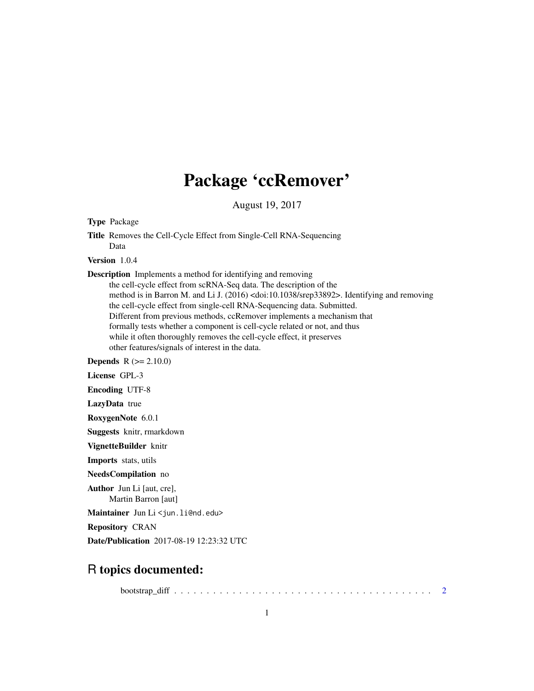## Package 'ccRemover'

August 19, 2017

Type Package

Title Removes the Cell-Cycle Effect from Single-Cell RNA-Sequencing Data

Version 1.0.4

Description Implements a method for identifying and removing the cell-cycle effect from scRNA-Seq data. The description of the method is in Barron M. and Li J. (2016) <doi:10.1038/srep33892>. Identifying and removing the cell-cycle effect from single-cell RNA-Sequencing data. Submitted. Different from previous methods, ccRemover implements a mechanism that formally tests whether a component is cell-cycle related or not, and thus while it often thoroughly removes the cell-cycle effect, it preserves other features/signals of interest in the data.

**Depends**  $R (= 2.10.0)$ 

License GPL-3

Encoding UTF-8

LazyData true

RoxygenNote 6.0.1

Suggests knitr, rmarkdown

VignetteBuilder knitr

Imports stats, utils

NeedsCompilation no

Author Jun Li [aut, cre], Martin Barron [aut]

Maintainer Jun Li <jun.li@nd.edu>

Repository CRAN

Date/Publication 2017-08-19 12:23:32 UTC

### R topics documented:

bootstrap\_diff . . . . . . . . . . . . . . . . . . . . . . . . . . . . . . . . . . . . . . . . [2](#page-1-0)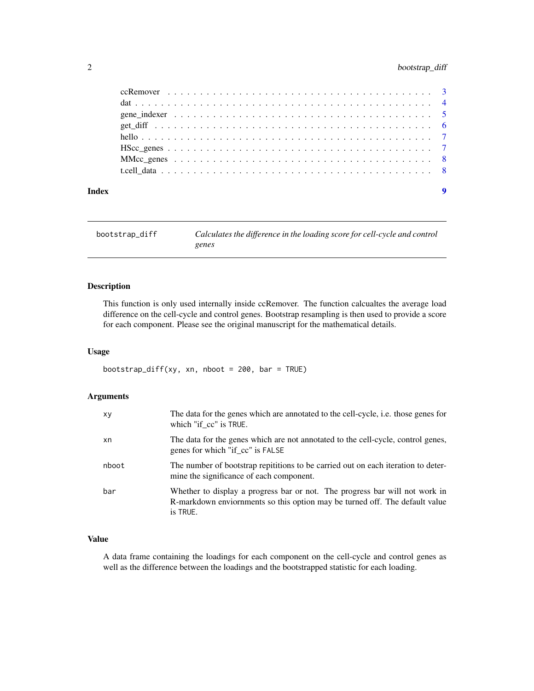#### <span id="page-1-0"></span>2 bootstrap\_diff

| Index | $\boldsymbol{9}$ |
|-------|------------------|

bootstrap\_diff *Calculates the difference in the loading score for cell-cycle and control genes*

#### Description

This function is only used internally inside ccRemover. The function calcualtes the average load difference on the cell-cycle and control genes. Bootstrap resampling is then used to provide a score for each component. Please see the original manuscript for the mathematical details.

#### Usage

bootstrap\_diff(xy, xn, nboot = 200, bar = TRUE)

#### Arguments

| xy    | The data for the genes which are annotated to the cell-cycle, <i>i.e.</i> those genes for<br>which "if cc" is TRUE.                                                    |
|-------|------------------------------------------------------------------------------------------------------------------------------------------------------------------------|
| xn    | The data for the genes which are not annotated to the cell-cycle, control genes,<br>genes for which "if cc" is FALSE                                                   |
| nboot | The number of bootstrap repititions to be carried out on each iteration to deter-<br>mine the significance of each component.                                          |
| bar   | Whether to display a progress bar or not. The progress bar will not work in<br>R-markdown enviornments so this option may be turned off. The default value<br>is TRUE. |

#### Value

A data frame containing the loadings for each component on the cell-cycle and control genes as well as the difference between the loadings and the bootstrapped statistic for each loading.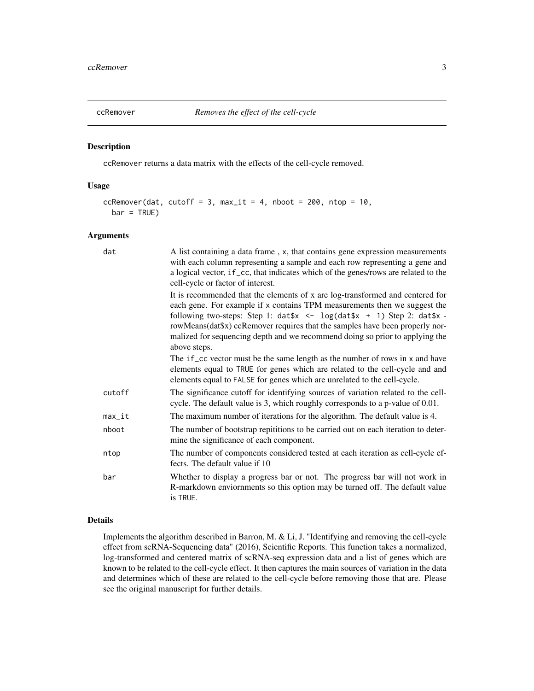<span id="page-2-0"></span>

#### Description

ccRemover returns a data matrix with the effects of the cell-cycle removed.

#### Usage

```
ccRemover(dat, cutoff = 3, max_it = 4, nboot = 200, ntop = 10,
 bar = TRUE)
```
#### Arguments

| dat      | A list containing a data frame, x, that contains gene expression measurements<br>with each column representing a sample and each row representing a gene and<br>a logical vector, if_cc, that indicates which of the genes/rows are related to the<br>cell-cycle or factor of interest.                                                                                                                                       |
|----------|-------------------------------------------------------------------------------------------------------------------------------------------------------------------------------------------------------------------------------------------------------------------------------------------------------------------------------------------------------------------------------------------------------------------------------|
|          | It is recommended that the elements of x are log-transformed and centered for<br>each gene. For example if x contains TPM measurements then we suggest the<br>following two-steps: Step 1: $dat$ \$x <- $log(data$ x + 1) Step 2: $dat$ \$x -<br>rowMeans(dat\$x) ccRemover requires that the samples have been properly nor-<br>malized for sequencing depth and we recommend doing so prior to applying the<br>above steps. |
|          | The if _cc vector must be the same length as the number of rows in x and have<br>elements equal to TRUE for genes which are related to the cell-cycle and and<br>elements equal to FALSE for genes which are unrelated to the cell-cycle.                                                                                                                                                                                     |
| cutoff   | The significance cutoff for identifying sources of variation related to the cell-<br>cycle. The default value is 3, which roughly corresponds to a p-value of 0.01.                                                                                                                                                                                                                                                           |
| $max_it$ | The maximum number of iterations for the algorithm. The default value is 4.                                                                                                                                                                                                                                                                                                                                                   |
| nboot    | The number of bootstrap repititions to be carried out on each iteration to deter-<br>mine the significance of each component.                                                                                                                                                                                                                                                                                                 |
| ntop     | The number of components considered tested at each iteration as cell-cycle ef-<br>fects. The default value if 10                                                                                                                                                                                                                                                                                                              |
| bar      | Whether to display a progress bar or not. The progress bar will not work in<br>R-markdown enviornments so this option may be turned off. The default value<br>is TRUE.                                                                                                                                                                                                                                                        |

#### Details

Implements the algorithm described in Barron, M. & Li, J. "Identifying and removing the cell-cycle effect from scRNA-Sequencing data" (2016), Scientific Reports. This function takes a normalized, log-transformed and centered matrix of scRNA-seq expression data and a list of genes which are known to be related to the cell-cycle effect. It then captures the main sources of variation in the data and determines which of these are related to the cell-cycle before removing those that are. Please see the original manuscript for further details.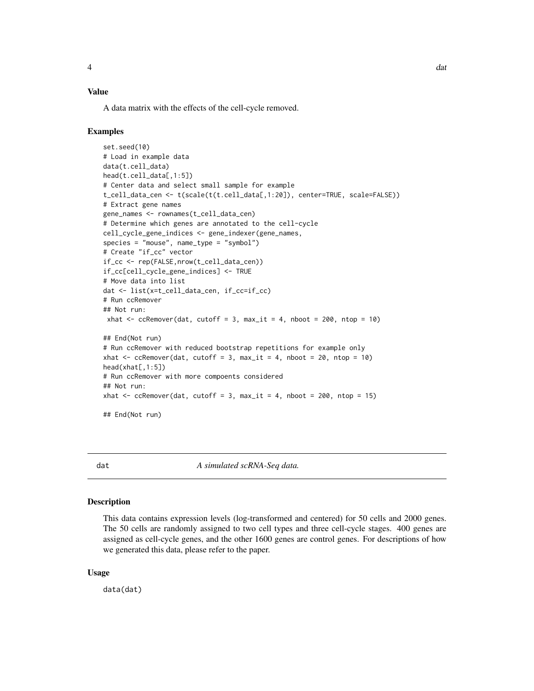#### <span id="page-3-0"></span>Value

A data matrix with the effects of the cell-cycle removed.

#### Examples

```
set.seed(10)
# Load in example data
data(t.cell_data)
head(t.cell_data[,1:5])
# Center data and select small sample for example
t_cell_data_cen <- t(scale(t(t.cell_data[,1:20]), center=TRUE, scale=FALSE))
# Extract gene names
gene_names <- rownames(t_cell_data_cen)
# Determine which genes are annotated to the cell-cycle
cell_cycle_gene_indices <- gene_indexer(gene_names,
species = "mouse", name_type = "symbol")
# Create "if_cc" vector
if_cc <- rep(FALSE,nrow(t_cell_data_cen))
if_cc[cell_cycle_gene_indices] <- TRUE
# Move data into list
dat <- list(x=t_cell_data_cen, if_cc=if_cc)
# Run ccRemover
## Not run:
xhat \leq ccRemover(dat, cutoff = 3, max_it = 4, nboot = 200, ntop = 10)
## End(Not run)
# Run ccRemover with reduced bootstrap repetitions for example only
xhat \leq ccRemover(dat, cutoff = 3, max_it = 4, nboot = 20, ntop = 10)
head(xhat[,1:5])
# Run ccRemover with more compoents considered
## Not run:
xhat \leq ccRemover(dat, cutoff = 3, max_it = 4, nboot = 200, ntop = 15)
## End(Not run)
```
dat *A simulated scRNA-Seq data.*

#### Description

This data contains expression levels (log-transformed and centered) for 50 cells and 2000 genes. The 50 cells are randomly assigned to two cell types and three cell-cycle stages. 400 genes are assigned as cell-cycle genes, and the other 1600 genes are control genes. For descriptions of how we generated this data, please refer to the paper.

#### Usage

data(dat)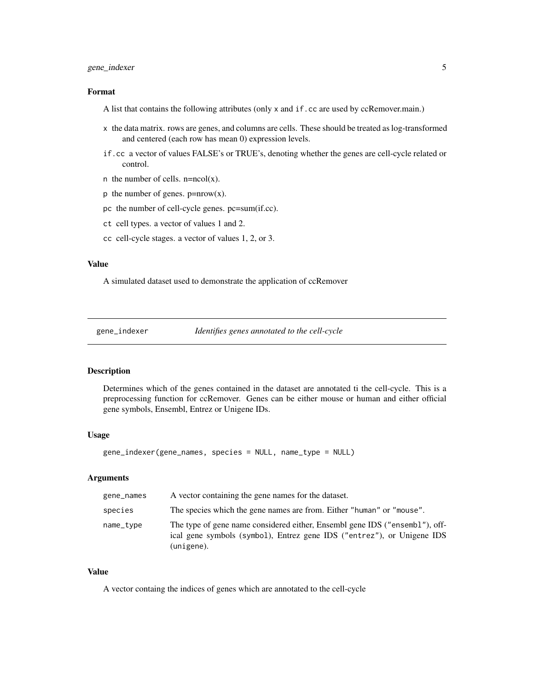#### <span id="page-4-0"></span>gene\_indexer 5

#### Format

A list that contains the following attributes (only x and if.cc are used by ccRemover.main.)

- x the data matrix. rows are genes, and columns are cells. These should be treated as log-transformed and centered (each row has mean 0) expression levels.
- if.cc a vector of values FALSE's or TRUE's, denoting whether the genes are cell-cycle related or control.
- n the number of cells.  $n = ncol(x)$ .
- p the number of genes.  $p= nrow(x)$ .
- pc the number of cell-cycle genes. pc=sum(if.cc).
- ct cell types. a vector of values 1 and 2.
- cc cell-cycle stages. a vector of values 1, 2, or 3.

#### Value

A simulated dataset used to demonstrate the application of ccRemover

gene\_indexer *Identifies genes annotated to the cell-cycle*

#### Description

Determines which of the genes contained in the dataset are annotated ti the cell-cycle. This is a preprocessing function for ccRemover. Genes can be either mouse or human and either official gene symbols, Ensembl, Entrez or Unigene IDs.

#### Usage

```
gene_indexer(gene_names, species = NULL, name_type = NULL)
```
#### Arguments

| gene_names | A vector containing the gene names for the dataset.                                                                                                                 |
|------------|---------------------------------------------------------------------------------------------------------------------------------------------------------------------|
| species    | The species which the gene names are from. Either "human" or "mouse".                                                                                               |
| name_type  | The type of gene name considered either, Ensembl gene IDS ("ensembl"), off-<br>ical gene symbols (symbol), Entrez gene IDS ("entrez"), or Unigene IDS<br>(unigene). |

#### Value

A vector containg the indices of genes which are annotated to the cell-cycle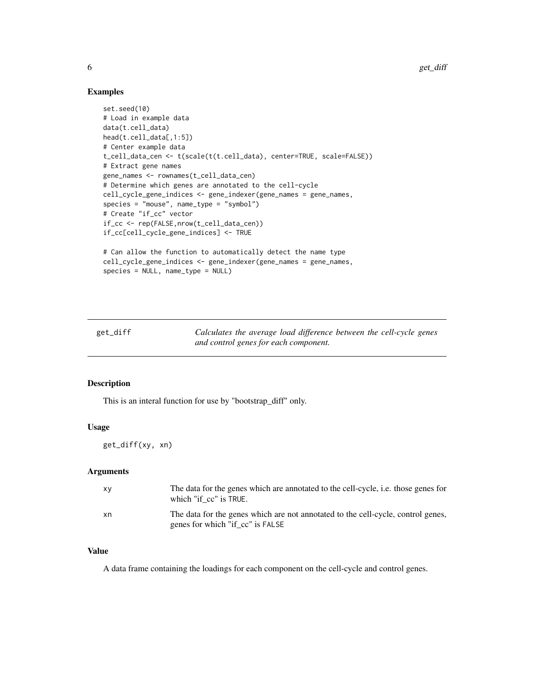#### Examples

```
set.seed(10)
# Load in example data
data(t.cell_data)
head(t.cell_data[,1:5])
# Center example data
t_cell_data_cen <- t(scale(t(t.cell_data), center=TRUE, scale=FALSE))
# Extract gene names
gene_names <- rownames(t_cell_data_cen)
# Determine which genes are annotated to the cell-cycle
cell_cycle_gene_indices <- gene_indexer(gene_names = gene_names,
species = "mouse", name_type = "symbol")
# Create "if_cc" vector
if_cc <- rep(FALSE,nrow(t_cell_data_cen))
if_cc[cell_cycle_gene_indices] <- TRUE
# Can allow the function to automatically detect the name type
cell_cycle_gene_indices <- gene_indexer(gene_names = gene_names,
species = NULL, name_type = NULL)
```
get\_diff *Calculates the average load difference between the cell-cycle genes and control genes for each component.*

#### Description

This is an interal function for use by "bootstrap\_diff" only.

#### Usage

get\_diff(xy, xn)

#### Arguments

| XV | The data for the genes which are annotated to the cell-cycle, i.e. those genes for<br>which "if cc" is TRUE.         |
|----|----------------------------------------------------------------------------------------------------------------------|
| xn | The data for the genes which are not annotated to the cell-cycle, control genes,<br>genes for which "if cc" is FALSE |

#### Value

A data frame containing the loadings for each component on the cell-cycle and control genes.

<span id="page-5-0"></span>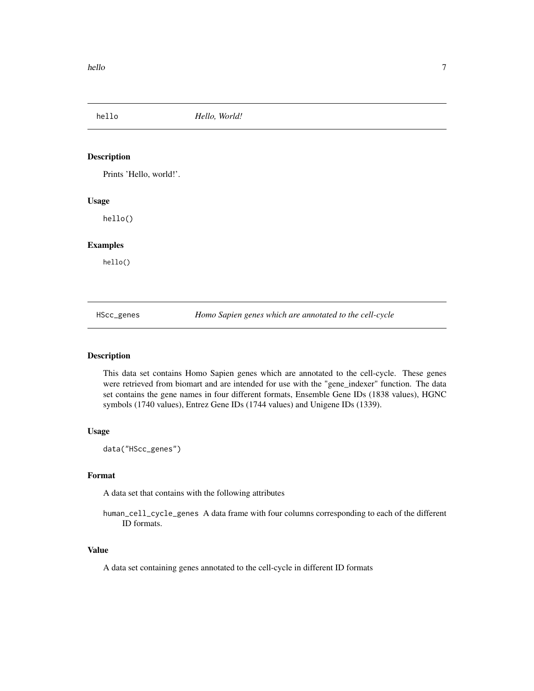<span id="page-6-0"></span>hello *Hello, World!*

#### Description

Prints 'Hello, world!'.

#### Usage

hello()

#### Examples

hello()

HScc\_genes *Homo Sapien genes which are annotated to the cell-cycle*

#### Description

This data set contains Homo Sapien genes which are annotated to the cell-cycle. These genes were retrieved from biomart and are intended for use with the "gene\_indexer" function. The data set contains the gene names in four different formats, Ensemble Gene IDs (1838 values), HGNC symbols (1740 values), Entrez Gene IDs (1744 values) and Unigene IDs (1339).

#### Usage

data("HScc\_genes")

#### Format

A data set that contains with the following attributes

human\_cell\_cycle\_genes A data frame with four columns corresponding to each of the different ID formats.

#### Value

A data set containing genes annotated to the cell-cycle in different ID formats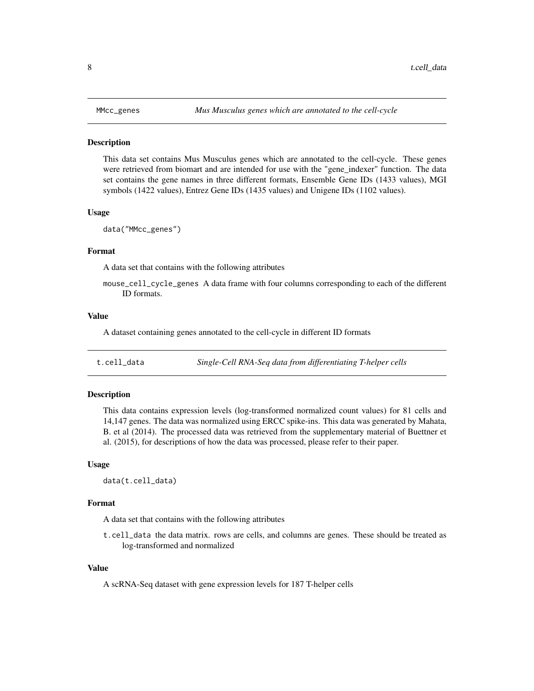<span id="page-7-0"></span>

#### **Description**

This data set contains Mus Musculus genes which are annotated to the cell-cycle. These genes were retrieved from biomart and are intended for use with the "gene\_indexer" function. The data set contains the gene names in three different formats, Ensemble Gene IDs (1433 values), MGI symbols (1422 values), Entrez Gene IDs (1435 values) and Unigene IDs (1102 values).

#### Usage

data("MMcc\_genes")

#### Format

A data set that contains with the following attributes

mouse\_cell\_cycle\_genes A data frame with four columns corresponding to each of the different ID formats.

#### Value

A dataset containing genes annotated to the cell-cycle in different ID formats

t.cell\_data *Single-Cell RNA-Seq data from differentiating T-helper cells*

#### **Description**

This data contains expression levels (log-transformed normalized count values) for 81 cells and 14,147 genes. The data was normalized using ERCC spike-ins. This data was generated by Mahata, B. et al (2014). The processed data was retrieved from the supplementary material of Buettner et al. (2015), for descriptions of how the data was processed, please refer to their paper.

#### Usage

data(t.cell\_data)

#### Format

A data set that contains with the following attributes

t.cell\_data the data matrix. rows are cells, and columns are genes. These should be treated as log-transformed and normalized

#### Value

A scRNA-Seq dataset with gene expression levels for 187 T-helper cells